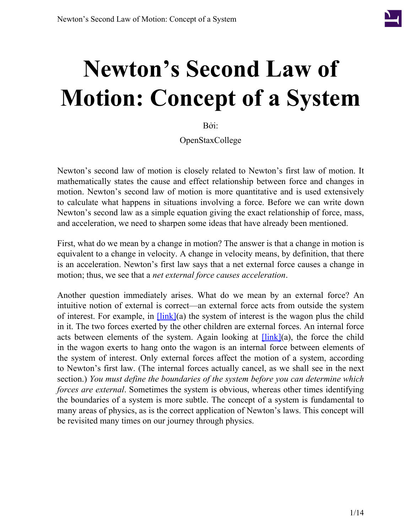

# **Newton's Second Law of Motion: Concept of a System**

Bởi:

OpenStaxCollege

Newton's second law of motion is closely related to Newton's first law of motion. It mathematically states the cause and effect relationship between force and changes in motion. Newton's second law of motion is more quantitative and is used extensively to calculate what happens in situations involving a force. Before we can write down Newton's second law as a simple equation giving the exact relationship of force, mass, and acceleration, we need to sharpen some ideas that have already been mentioned.

First, what do we mean by a change in motion? The answer is that a change in motion is equivalent to a change in velocity. A change in velocity means, by definition, that there is an acceleration. Newton's first law says that a net external force causes a change in motion; thus, we see that a *net external force causes acceleration*.

Another question immediately arises. What do we mean by an external force? An intuitive notion of external is correct—an external force acts from outside the system of interest. For example, in  $\frac{[\text{link}](a)}{[a]}$  the system of interest is the wagon plus the child in it. The two forces exerted by the other children are external forces. An internal force acts between elements of the system. Again looking at  $\frac{\ln k}{a}$ , the force the child in the wagon exerts to hang onto the wagon is an internal force between elements of the system of interest. Only external forces affect the motion of a system, according to Newton's first law. (The internal forces actually cancel, as we shall see in the next section.) *You must define the boundaries of the system before you can determine which forces are external*. Sometimes the system is obvious, whereas other times identifying the boundaries of a system is more subtle. The concept of a system is fundamental to many areas of physics, as is the correct application of Newton's laws. This concept will be revisited many times on our journey through physics.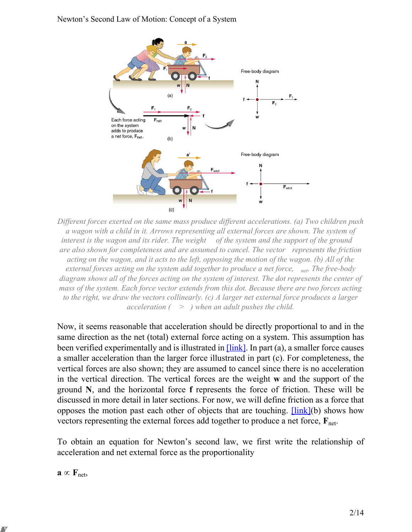<span id="page-1-0"></span>

*Different forces exerted on the same mass produce different accelerations. (a) Two children push a wagon with a child in it. Arrows representing all external forces are shown. The system of interest is the wagon and its rider. The weight of the system and the support of the ground are also shown for completeness and are assumed to cancel. The vector represents the friction acting on the wagon, and it acts to the left, opposing the motion of the wagon. (b) All of the external forces acting on the system add together to produce a net force, net. The free-body diagram shows all of the forces acting on the system of interest. The dot represents the center of mass of the system. Each force vector extends from this dot. Because there are two forces acting to the right, we draw the vectors collinearly. (c) A larger net external force produces a larger acceleration ( > ) when an adult pushes the child.*

are also shown for completeness and are assumed to cancel. The vector<br>external forces acting on the usegon, and it acts to the left, opposing the motion of the<br>external forces acting on the system and together to produce Now, it seems reasonable that acceleration should be directly proportional to and in the same direction as the net (total) external force acting on a system. This assumption has been verified experimentally and is illustrated in [\[link\]](#page-1-0). In part (a), a smaller force causes a smaller acceleration than the larger force illustrated in part (c). For completeness, the vertical forces are also shown; they are assumed to cancel since there is no acceleration in the vertical direction. The vertical forces are the weight **w** and the support of the ground **N**, and the horizontal force **f** represents the force of friction. These will be discussed in more detail in later sections. For now, we will define friction as a force that opposes the motion past each other of objects that are touching. [\[link\]\(](#page-1-0)b) shows how vectors representing the external forces add together to produce a net force,  $\mathbf{F}_{net}$ .

To obtain an equation for Newton's second law, we first write the relationship of acceleration and net external force as the proportionality

**a** ∝  $\mathbf{F}_{\text{net}}$ 

**w**

**<sup>a</sup>′ a**

**F**

**f**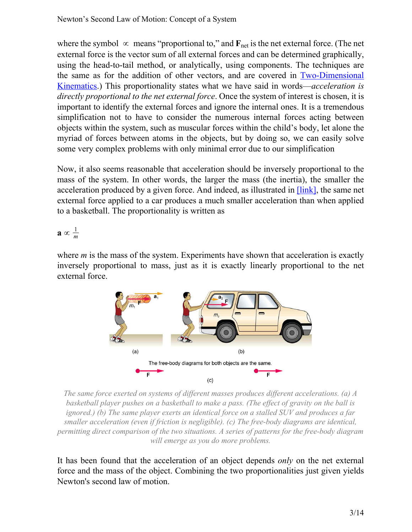where the symbol ∝ means "proportional to," and **F**net is the net external force. (The net external force is the vector sum of all external forces and can be determined graphically, using the head-to-tail method, or analytically, using components. The techniques are the same as for the addition of other vectors, and are covered in [Two-Dimensional](/m42126) [Kinematics](/m42126).) This proportionality states what we have said in words—*acceleration is directly proportional to the net external force*. Once the system of interest is chosen, it is important to identify the external forces and ignore the internal ones. It is a tremendous simplification not to have to consider the numerous internal forces acting between objects within the system, such as muscular forces within the child's body, let alone the myriad of forces between atoms in the objects, but by doing so, we can easily solve some very complex problems with only minimal error due to our simplification

Now, it also seems reasonable that acceleration should be inversely proportional to the mass of the system. In other words, the larger the mass (the inertia), the smaller the acceleration produced by a given force. And indeed, as illustrated in [\[link\]](#page-2-0), the same net external force applied to a car produces a much smaller acceleration than when applied to a basketball. The proportionality is written as

 $\mathbf{a} \propto \frac{1}{m}$ *m*

<span id="page-2-0"></span>where *m* is the mass of the system. Experiments have shown that acceleration is exactly inversely proportional to mass, just as it is exactly linearly proportional to the net external force.



*The same force exerted on systems of different masses produces different accelerations. (a) A basketball player pushes on a basketball to make a pass. (The effect of gravity on the ball is ignored.) (b) The same player exerts an identical force on a stalled SUV and produces a far smaller acceleration (even if friction is negligible). (c) The free-body diagrams are identical, permitting direct comparison of the two situations. A series of patterns for the free-body diagram will emerge as you do more problems.*

It has been found that the acceleration of an object depends *only* on the net external force and the mass of the object. Combining the two proportionalities just given yields Newton's second law of motion.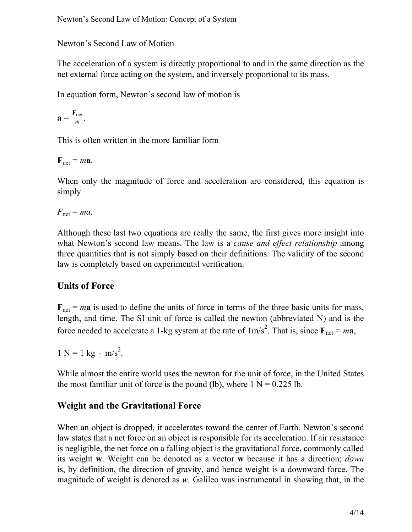Newton's Second Law of Motion

The acceleration of a system is directly proportional to and in the same direction as the net external force acting on the system, and inversely proportional to its mass.

In equation form, Newton's second law of motion is

$$
\mathbf{a} = \frac{\mathbf{F}_{\text{net}}}{m}.
$$

This is often written in the more familiar form

 $\mathbf{F}_{\text{net}} = m\mathbf{a}$ .

When only the magnitude of force and acceleration are considered, this equation is simply

 $F_{\text{net}} = ma$ .

Although these last two equations are really the same, the first gives more insight into what Newton's second law means. The law is a *cause and effect relationship* among three quantities that is not simply based on their definitions. The validity of the second law is completely based on experimental verification.

# **Units of Force**

 $\mathbf{F}_{\text{net}} = m\mathbf{a}$  is used to define the units of force in terms of the three basic units for mass, length, and time. The SI unit of force is called the newton (abbreviated N) and is the force needed to accelerate a 1-kg system at the rate of  $1 \text{ m/s}^2$ . That is, since  $\mathbf{F}_{\text{net}} = m\mathbf{a}$ ,

 $1 N = 1 kg \cdot m/s^2$ .

While almost the entire world uses the newton for the unit of force, in the United States the most familiar unit of force is the pound (lb), where  $1 N = 0.225$  lb.

## **Weight and the Gravitational Force**

When an object is dropped, it accelerates toward the center of Earth. Newton's second law states that a net force on an object is responsible for its acceleration. If air resistance is negligible, the net force on a falling object is the gravitational force, commonly called its weight **w**. Weight can be denoted as a vector **w** because it has a direction; *down* is, by definition, the direction of gravity, and hence weight is a downward force. The magnitude of weight is denoted as *w.* Galileo was instrumental in showing that, in the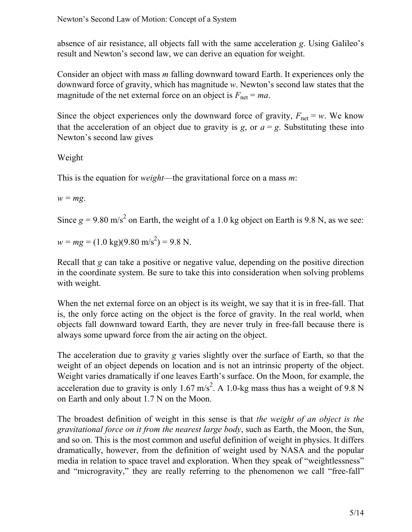absence of air resistance, all objects fall with the same acceleration *g*. Using Galileo's result and Newton's second law, we can derive an equation for weight.

Consider an object with mass *m* falling downward toward Earth. It experiences only the downward force of gravity, which has magnitude *w*. Newton's second law states that the magnitude of the net external force on an object is  $F_{\text{net}} = ma$ .

Since the object experiences only the downward force of gravity,  $F_{\text{net}} = w$ . We know that the acceleration of an object due to gravity is  $g$ , or  $a = g$ . Substituting these into Newton's second law gives

## Weight

This is the equation for *weight*—the gravitational force on a mass *m*:

 $w = mg$ .

Since  $g = 9.80$  m/s<sup>2</sup> on Earth, the weight of a 1.0 kg object on Earth is 9.8 N, as we see:

 $w = mg = (1.0 \text{ kg})(9.80 \text{ m/s}^2) = 9.8 \text{ N}.$ 

Recall that *g* can take a positive or negative value, depending on the positive direction in the coordinate system. Be sure to take this into consideration when solving problems with weight.

When the net external force on an object is its weight, we say that it is in free-fall. That is, the only force acting on the object is the force of gravity. In the real world, when objects fall downward toward Earth, they are never truly in free-fall because there is always some upward force from the air acting on the object.

The acceleration due to gravity *g* varies slightly over the surface of Earth, so that the weight of an object depends on location and is not an intrinsic property of the object. Weight varies dramatically if one leaves Earth's surface. On the Moon, for example, the acceleration due to gravity is only 1.67 m/s<sup>2</sup>. A 1.0-kg mass thus has a weight of 9.8 N on Earth and only about 1.7 N on the Moon.

The broadest definition of weight in this sense is that *the weight of an object is the gravitational force on it from the nearest large body*, such as Earth, the Moon, the Sun, and so on. This is the most common and useful definition of weight in physics. It differs dramatically, however, from the definition of weight used by NASA and the popular media in relation to space travel and exploration. When they speak of "weightlessness" and "microgravity," they are really referring to the phenomenon we call "free-fall"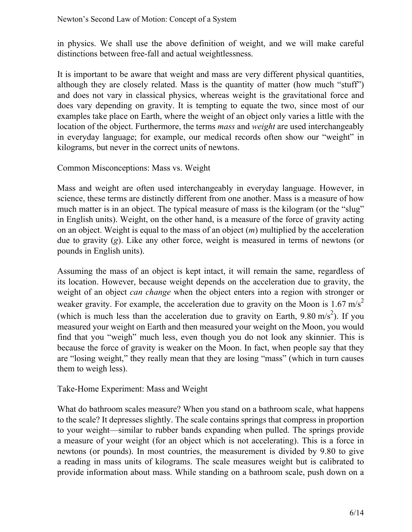in physics. We shall use the above definition of weight, and we will make careful distinctions between free-fall and actual weightlessness.

It is important to be aware that weight and mass are very different physical quantities, although they are closely related. Mass is the quantity of matter (how much "stuff") and does not vary in classical physics, whereas weight is the gravitational force and does vary depending on gravity. It is tempting to equate the two, since most of our examples take place on Earth, where the weight of an object only varies a little with the location of the object. Furthermore, the terms *mass* and *weight* are used interchangeably in everyday language; for example, our medical records often show our "weight" in kilograms, but never in the correct units of newtons.

Common Misconceptions: Mass vs. Weight

Mass and weight are often used interchangeably in everyday language. However, in science, these terms are distinctly different from one another. Mass is a measure of how much matter is in an object. The typical measure of mass is the kilogram (or the "slug" in English units). Weight, on the other hand, is a measure of the force of gravity acting on an object. Weight is equal to the mass of an object (*m*) multiplied by the acceleration due to gravity (*g*). Like any other force, weight is measured in terms of newtons (or pounds in English units).

Assuming the mass of an object is kept intact, it will remain the same, regardless of its location. However, because weight depends on the acceleration due to gravity, the weight of an object *can change* when the object enters into a region with stronger or weaker gravity. For example, the acceleration due to gravity on the Moon is  $1.67 \text{ m/s}^2$ (which is much less than the acceleration due to gravity on Earth,  $9.80 \text{ m/s}^2$ ). If you measured your weight on Earth and then measured your weight on the Moon, you would find that you "weigh" much less, even though you do not look any skinnier. This is because the force of gravity is weaker on the Moon. In fact, when people say that they are "losing weight," they really mean that they are losing "mass" (which in turn causes them to weigh less).

Take-Home Experiment: Mass and Weight

What do bathroom scales measure? When you stand on a bathroom scale, what happens to the scale? It depresses slightly. The scale contains springs that compress in proportion to your weight—similar to rubber bands expanding when pulled. The springs provide a measure of your weight (for an object which is not accelerating). This is a force in newtons (or pounds). In most countries, the measurement is divided by 9.80 to give a reading in mass units of kilograms. The scale measures weight but is calibrated to provide information about mass. While standing on a bathroom scale, push down on a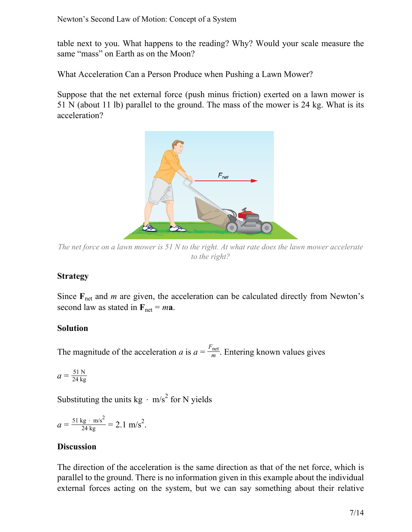table next to you. What happens to the reading? Why? Would your scale measure the same "mass" on Earth as on the Moon?

What Acceleration Can a Person Produce when Pushing a Lawn Mower?

Suppose that the net external force (push minus friction) exerted on a lawn mower is 51 N (about 11 lb) parallel to the ground. The mass of the mower is 24 kg. What is its acceleration?

<span id="page-6-0"></span>

*The net force on a lawn mower is 51 N to the right. At what rate does the lawn mower accelerate to the right?*

## **Strategy**

Since  $\mathbf{F}_{\text{net}}$  and *m* are given, the acceleration can be calculated directly from Newton's second law as stated in  $\mathbf{F}_{\text{net}} = m\mathbf{a}$ .

## **Solution**

The magnitude of the acceleration *a* is  $a = \frac{F_{\text{net}}}{m}$  $\frac{net}{m}$ . Entering known values gives

$$
a = \frac{51 \text{ N}}{24 \text{ kg}}
$$

Substituting the units  $kg \cdot m/s^2$  for N yields

$$
a = \frac{51 \text{ kg} \cdot \text{m/s}^2}{24 \text{ kg}} = 2.1 \text{ m/s}^2.
$$

## **Discussion**

The direction of the acceleration is the same direction as that of the net force, which is parallel to the ground. There is no information given in this example about the individual external forces acting on the system, but we can say something about their relative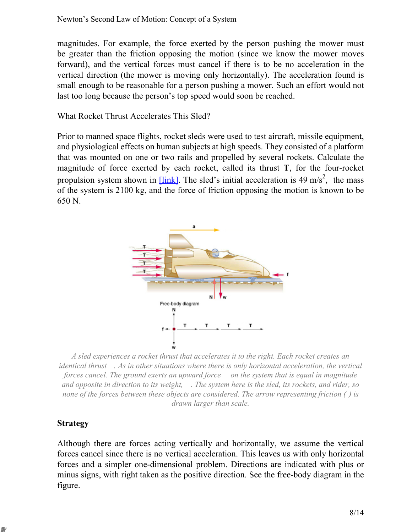magnitudes. For example, the force exerted by the person pushing the mower must be greater than the friction opposing the motion (since we know the mower moves forward), and the vertical forces must cancel if there is to be no acceleration in the vertical direction (the mower is moving only horizontally). The acceleration found is small enough to be reasonable for a person pushing a mower. Such an effort would not last too long because the person's top speed would soon be reached.

What Rocket Thrust Accelerates This Sled?

<span id="page-7-0"></span>Prior to manned space flights, rocket sleds were used to test aircraft, missile equipment, and physiological effects on human subjects at high speeds. They consisted of a platform that was mounted on one or two rails and propelled by several rockets. Calculate the magnitude of force exerted by each rocket, called its thrust **T**, for the four-rocket propulsion system shown in  $\boxed{\text{link}}$ . The sled's initial acceleration is 49 m/s<sup>2</sup>, the mass of the system is 2100 kg, and the force of friction opposing the motion is known to be 650 N.



*A sled experiences a rocket thrust that accelerates it to the right. Each rocket creates an identical thrust . As in other situations where there is only horizontal acceleration, the vertical forces cancel. The ground exerts an upward force and opposite in direction to its weight, none of the forces between these objects are considered. The arrow representing friction ( ) is drawn larger than scale.*

## **Strategy**

**T**

**f**

forces cancel. The ground exerts an upward force on the system that is equal in magnitude<br>and opposite in direction to its weight, . The system there is the sled, its rockets, and rider, so<br>none of the forces between these and opposite in direction to its weight, The system here is the sled, its rockets, and rider, so<br>none of the forces between these objects are considered. The arrow representing friction () is<br>drawn larger than scale.<br>**Stra** Although there are forces acting vertically and horizontally, we assume the vertical forces cancel since there is no vertical acceleration. This leaves us with only horizontal forces and a simpler one-dimensional problem. Directions are indicated with plus or minus signs, with right taken as the positive direction. See the free-body diagram in the figure.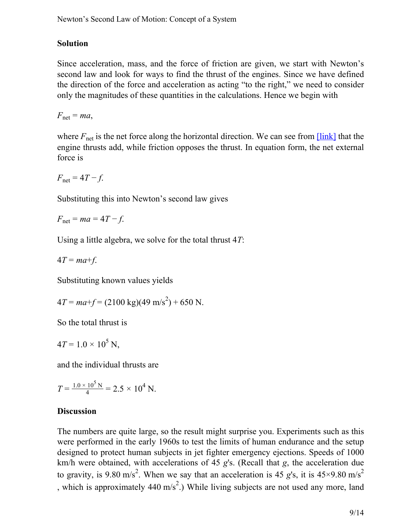## **Solution**

Since acceleration, mass, and the force of friction are given, we start with Newton's second law and look for ways to find the thrust of the engines. Since we have defined the direction of the force and acceleration as acting "to the right," we need to consider only the magnitudes of these quantities in the calculations. Hence we begin with

 $F_{\text{net}} = ma$ ,

where  $F_{\text{net}}$  is the net force along the horizontal direction. We can see from  $\boxed{\text{link}}$  that the engine thrusts add, while friction opposes the thrust. In equation form, the net external force is

 $F_{\text{net}} = 4T - f$ .

Substituting this into Newton's second law gives

 $F_{\text{net}} = ma = 4T - f$ .

Using a little algebra, we solve for the total thrust 4*T*:

$$
4T = ma + f.
$$

Substituting known values yields

 $4T = ma + f = (2100 \text{ kg})(49 \text{ m/s}^2) + 650 \text{ N}.$ 

So the total thrust is

$$
4T = 1.0 \times 10^5 \text{ N},
$$

and the individual thrusts are

$$
T = \frac{1.0 \times 10^5 \,\mathrm{N}}{4} = 2.5 \times 10^4 \,\mathrm{N}.
$$

#### **Discussion**

The numbers are quite large, so the result might surprise you. Experiments such as this were performed in the early 1960s to test the limits of human endurance and the setup designed to protect human subjects in jet fighter emergency ejections. Speeds of 1000 km/h were obtained, with accelerations of 45 *g*'s. (Recall that *g*, the acceleration due to gravity, is 9.80 m/s<sup>2</sup>. When we say that an acceleration is 45 g's, it is  $45 \times 9.80$  m/s<sup>2</sup> , which is approximately 440 m/s<sup>2</sup>.) While living subjects are not used any more, land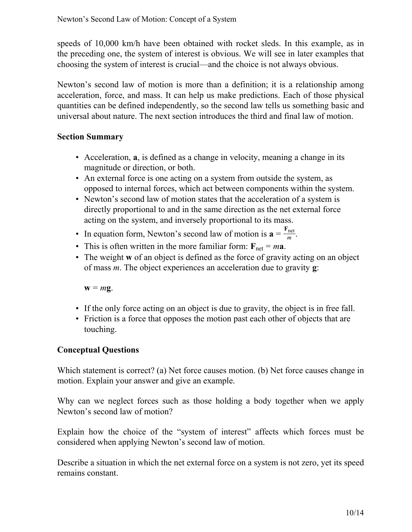speeds of 10,000 km/h have been obtained with rocket sleds. In this example, as in the preceding one, the system of interest is obvious. We will see in later examples that choosing the system of interest is crucial—and the choice is not always obvious.

Newton's second law of motion is more than a definition; it is a relationship among acceleration, force, and mass. It can help us make predictions. Each of those physical quantities can be defined independently, so the second law tells us something basic and universal about nature. The next section introduces the third and final law of motion.

#### **Section Summary**

- Acceleration, **a**, is defined as a change in velocity, meaning a change in its magnitude or direction, or both.
- An external force is one acting on a system from outside the system, as opposed to internal forces, which act between components within the system.
- Newton's second law of motion states that the acceleration of a system is directly proportional to and in the same direction as the net external force acting on the system, and inversely proportional to its mass.
- In equation form, Newton's second law of motion is  $\mathbf{a} = \frac{\mathbf{F}_{\text{net}}}{m}$  $\frac{\text{net}}{m}$ .
- This is often written in the more familiar form:  $\mathbf{F}_{net} = m\mathbf{a}$ .
- The weight **w** of an object is defined as the force of gravity acting on an object of mass *m*. The object experiences an acceleration due to gravity **g**:

 $\mathbf{w} = m\mathbf{g}$ .

- If the only force acting on an object is due to gravity, the object is in free fall.
- Friction is a force that opposes the motion past each other of objects that are touching.

## **Conceptual Questions**

Which statement is correct? (a) Net force causes motion. (b) Net force causes change in motion. Explain your answer and give an example.

Why can we neglect forces such as those holding a body together when we apply Newton's second law of motion?

Explain how the choice of the "system of interest" affects which forces must be considered when applying Newton's second law of motion.

Describe a situation in which the net external force on a system is not zero, yet its speed remains constant.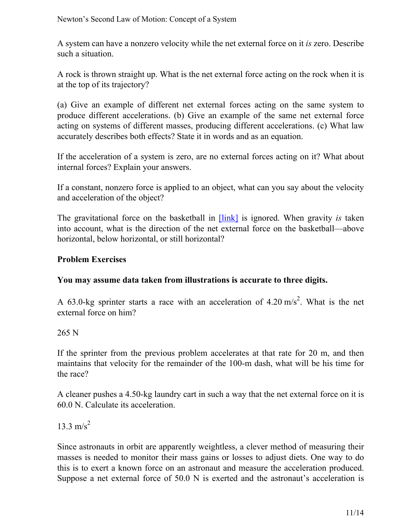A system can have a nonzero velocity while the net external force on it *is* zero. Describe such a situation.

A rock is thrown straight up. What is the net external force acting on the rock when it is at the top of its trajectory?

(a) Give an example of different net external forces acting on the same system to produce different accelerations. (b) Give an example of the same net external force acting on systems of different masses, producing different accelerations. (c) What law accurately describes both effects? State it in words and as an equation.

If the acceleration of a system is zero, are no external forces acting on it? What about internal forces? Explain your answers.

If a constant, nonzero force is applied to an object, what can you say about the velocity and acceleration of the object?

The gravitational force on the basketball in [\[link\]](#page-2-0) is ignored. When gravity *is* taken into account, what is the direction of the net external force on the basketball—above horizontal, below horizontal, or still horizontal?

## **Problem Exercises**

## **You may assume data taken from illustrations is accurate to three digits.**

A 63.0-kg sprinter starts a race with an acceleration of 4.20 m/s<sup>2</sup>. What is the net external force on him?

#### 265 N

If the sprinter from the previous problem accelerates at that rate for 20 m, and then maintains that velocity for the remainder of the 100-m dash, what will be his time for the race?

A cleaner pushes a 4.50-kg laundry cart in such a way that the net external force on it is 60.0 N. Calculate its acceleration.

## 13.3 m/s<sup>2</sup>

Since astronauts in orbit are apparently weightless, a clever method of measuring their masses is needed to monitor their mass gains or losses to adjust diets. One way to do this is to exert a known force on an astronaut and measure the acceleration produced. Suppose a net external force of 50.0 N is exerted and the astronaut's acceleration is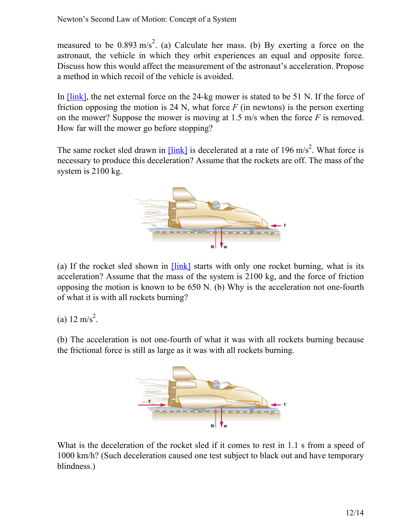measured to be  $0.893 \text{ m/s}^2$ . (a) Calculate her mass. (b) By exerting a force on the astronaut, the vehicle in which they orbit experiences an equal and opposite force. Discuss how this would affect the measurement of the astronaut's acceleration. Propose a method in which recoil of the vehicle is avoided.

In [\[link\]](#page-6-0), the net external force on the 24-kg mower is stated to be 51 N. If the force of friction opposing the motion is 24 N, what force  $F$  (in newtons) is the person exerting on the mower? Suppose the mower is moving at 1.5 m/s when the force *F* is removed. How far will the mower go before stopping?

<span id="page-11-0"></span>The same rocket sled drawn in  $[\text{link}]$  is decelerated at a rate of 196 m/s<sup>2</sup>. What force is necessary to produce this deceleration? Assume that the rockets are off. The mass of the system is 2100 kg.



(a) If the rocket sled shown in [\[link\]](#page-11-1) starts with only one rocket burning, what is its acceleration? Assume that the mass of the system is 2100 kg, and the force of friction opposing the motion is known to be 650 N. (b) Why is the acceleration not one-fourth of what it is with all rockets burning?

(a) 12 m/s<sup>2</sup>.

<span id="page-11-1"></span>(b) The acceleration is not one-fourth of what it was with all rockets burning because the frictional force is still as large as it was with all rockets burning.



What is the deceleration of the rocket sled if it comes to rest in 1.1 s from a speed of 1000 km/h? (Such deceleration caused one test subject to black out and have temporary blindness.)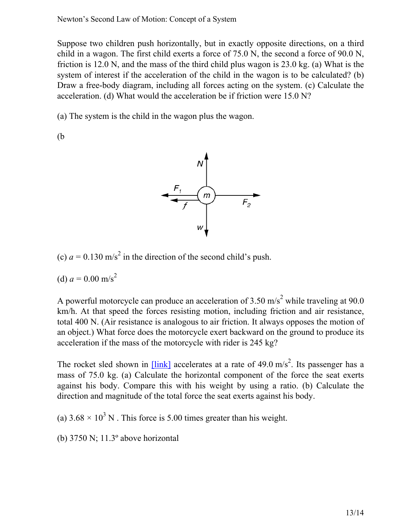Suppose two children push horizontally, but in exactly opposite directions, on a third child in a wagon. The first child exerts a force of 75.0 N, the second a force of 90.0 N, friction is 12.0 N, and the mass of the third child plus wagon is 23.0 kg. (a) What is the system of interest if the acceleration of the child in the wagon is to be calculated? (b) Draw a free-body diagram, including all forces acting on the system. (c) Calculate the acceleration. (d) What would the acceleration be if friction were 15.0 N?

(a) The system is the child in the wagon plus the wagon.

(b



(c)  $a = 0.130 \text{ m/s}^2$  in the direction of the second child's push.

(d) 
$$
a = 0.00
$$
 m/s<sup>2</sup>

A powerful motorcycle can produce an acceleration of  $3.50 \text{ m/s}^2$  while traveling at 90.0 km/h. At that speed the forces resisting motion, including friction and air resistance, total 400 N. (Air resistance is analogous to air friction. It always opposes the motion of an object.) What force does the motorcycle exert backward on the ground to produce its acceleration if the mass of the motorcycle with rider is 245 kg?

The rocket sled shown in  $\boxed{\text{link}}$  accelerates at a rate of 49.0 m/s<sup>2</sup>. Its passenger has a mass of 75.0 kg. (a) Calculate the horizontal component of the force the seat exerts against his body. Compare this with his weight by using a ratio. (b) Calculate the direction and magnitude of the total force the seat exerts against his body.

(a)  $3.68 \times 10^3$  N. This force is 5.00 times greater than his weight.

(b) 3750 N; 11.3º above horizontal